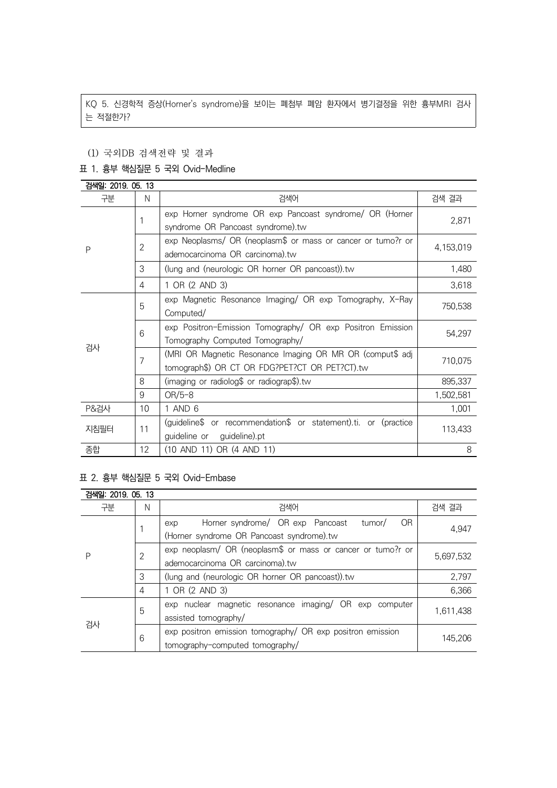KQ 5. 신경학적 증상(Horner's syndrome)을 보이는 폐첨부 폐암 환자에서 병기결정을 위한 흉부MRI 검사 는 적절한가?

#### (1) 국외DB 검색전략 및 결과

#### 표 1. 흉부 핵심질문 5 국외 Ovid-Medline

| 검색일: 2019. 05. 13 |                |                                                                 |           |  |
|-------------------|----------------|-----------------------------------------------------------------|-----------|--|
| 구분                | N              | 검색어                                                             | 검색 결과     |  |
| P                 | 1              | exp Horner syndrome OR exp Pancoast syndrome/ OR (Horner        | 2,871     |  |
|                   |                | syndrome OR Pancoast syndrome).tw                               |           |  |
|                   | $\overline{2}$ | exp Neoplasms/ OR (neoplasm\$ or mass or cancer or tumo?r or    | 4,153,019 |  |
|                   |                | ademocarcinoma OR carcinoma).tw                                 |           |  |
|                   | 3              | (lung and (neurologic OR horner OR pancoast)).tw                | 1,480     |  |
|                   | 4              | 1 OR (2 AND 3)                                                  | 3,618     |  |
|                   | 5              | exp Magnetic Resonance Imaging/ OR exp Tomography, X-Ray        |           |  |
|                   |                | Computed/                                                       | 750,538   |  |
|                   | 6              | exp Positron-Emission Tomography/ OR exp Positron Emission      | 54,297    |  |
| 검사                |                | Tomography Computed Tomography/                                 |           |  |
|                   | 7              | (MRI OR Magnetic Resonance Imaging OR MR OR (comput\$ adj       | 710,075   |  |
|                   |                | tomograph\$) OR CT OR FDG?PET?CT OR PET?CT).tw                  |           |  |
|                   | 8              | (imaging or radiolog\$ or radiograp\$).tw                       | 895,337   |  |
|                   | 9              | $OR/5-8$                                                        | 1,502,581 |  |
| <b>P&amp;검사</b>   | 10             | 1 AND 6                                                         | 1,001     |  |
| 지침필터              | 11             | (guideline\$ or recommendation\$ or statement).ti. or (practice | 113,433   |  |
|                   |                | guideline).pt<br>guideline or                                   |           |  |
| 종합                | 12             | (10 AND 11) OR (4 AND 11)<br>8                                  |           |  |

### 표 2. 흉부 핵심질문 5 국외 Ovid-Embase

| 검색일: 2019, 05, 13 |   |                                                                                                       |           |  |
|-------------------|---|-------------------------------------------------------------------------------------------------------|-----------|--|
| 구분                | N | 검색어                                                                                                   | 검색 결과     |  |
| Р                 |   | Horner syndrome/ OR exp Pancoast<br>OR.<br>tumor/<br>exp<br>(Horner syndrome OR Pancoast syndrome).tw | 4.947     |  |
|                   | 2 | exp neoplasm/ OR (neoplasm\$ or mass or cancer or tumo?r or<br>ademocarcinoma OR carcinoma).tw        | 5,697,532 |  |
|                   | 3 | (lung and (neurologic OR horner OR pancoast)).tw                                                      | 2,797     |  |
|                   | 4 | 1 OR (2 AND 3)                                                                                        | 6,366     |  |
| 검사                | 5 | exp nuclear magnetic resonance imaging/ OR exp computer<br>assisted tomography/                       | 1,611,438 |  |
|                   | 6 | exp positron emission tomography/ OR exp positron emission<br>tomography-computed tomography/         | 145.206   |  |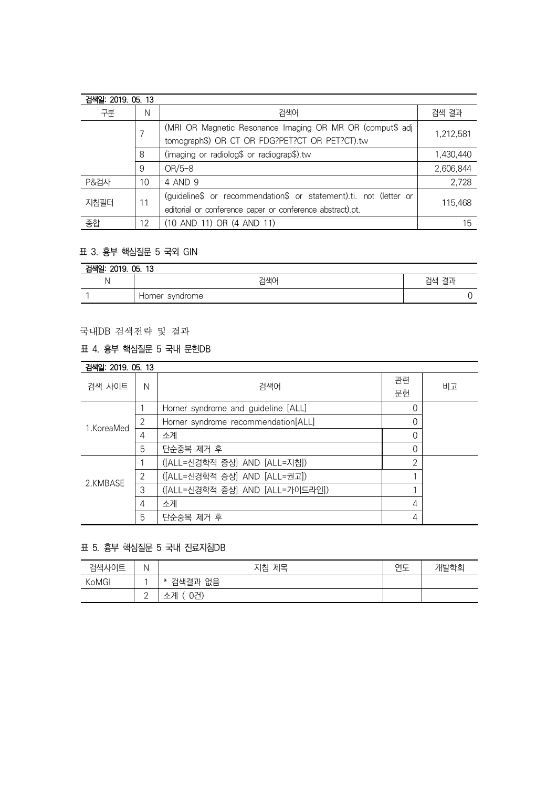| 검색일: 2019. 05. 13 |    |                                                                   |           |
|-------------------|----|-------------------------------------------------------------------|-----------|
| 구분                | N  | 검색어                                                               | 검색 결과     |
|                   |    | (MRI OR Magnetic Resonance Imaging OR MR OR (comput\$ adj         | 1,212,581 |
|                   |    | tomograph\$) OR CT OR FDG?PET?CT OR PET?CT).tw                    |           |
|                   | 8  | (imaging or radiolog\$ or radiograp\$).tw                         | 1,430,440 |
|                   | 9  | $OR/5-8$                                                          | 2,606,844 |
| P&검사              | 10 | 4 AND 9                                                           | 2,728     |
| 지침필터              | 11 | (guideline\$ or recommendation\$ or statement).ti. not (letter or | 115.468   |
|                   |    | editorial or conference paper or conference abstract).pt.         |           |
| 종합                | 12 | (10 AND 11) OR (4 AND 11)                                         | 15        |

## 표 3. 흉부 핵심질문 5 국외 GIN

| 검색일:<br>2019. 05. 13 |                 |          |  |
|----------------------|-----------------|----------|--|
|                      | 검색어             | 검색<br>결과 |  |
|                      | Horner syndrome |          |  |

# 국내DB 검색전략 및 결과

## 표 4. 흉부 핵심질문 5 국내 문헌DB

| 검색일: 2019, 05, 13 |               |                                     |                |    |
|-------------------|---------------|-------------------------------------|----------------|----|
| 검색 사이트            | N             | 검색어                                 | 관련<br>문헌       | 비고 |
| 1.KoreaMed        |               | Horner syndrome and guideline [ALL] | 0              |    |
|                   | $\mathcal{P}$ | Horner syndrome recommendation[ALL] | 0              |    |
|                   | 4             | 소계                                  | 0              |    |
|                   | 5             | 단순중복 제거 후                           | 0              |    |
| 2.KMBASE          |               | ([ALL=신경학적 증상] AND [ALL=지침])        | $\overline{2}$ |    |
|                   | 2             | ([ALL=신경학적 증상] AND [ALL=권고])        |                |    |
|                   | 3             | ([ALL=신경학적 증상] AND [ALL=가이드라인])     |                |    |
|                   | 4             | 소계                                  | 4              |    |
|                   | 5             | 단순중복 제거 후                           | 4              |    |

## 표 5. 흉부 핵심질문 5 국내 진료지침DB

| 검색사이트 | Ν           | 지침 제목                 | 연도 | 개발학회 |
|-------|-------------|-----------------------|----|------|
| KoMGI |             | <sup>'*</sup> 검색결과 없음 |    |      |
|       | $\sim$<br>- | 0건)<br>소계             |    |      |